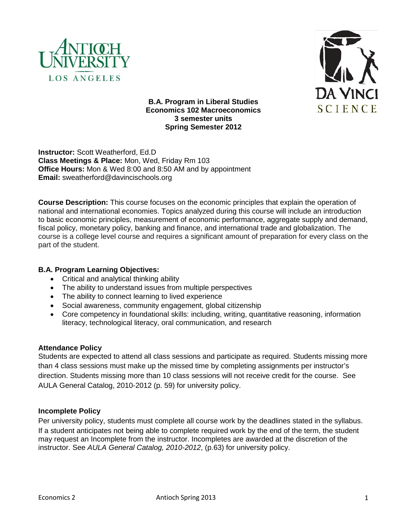



**B.A. Program in Liberal Studies Economics 102 Macroeconomics 3 semester units Spring Semester 2012** 

**Instructor:** Scott Weatherford, Ed.D **Class Meetings & Place:** Mon, Wed, Friday Rm 103 **Office Hours:** Mon & Wed 8:00 and 8:50 AM and by appointment **Email:** sweatherford@davincischools.org

**Course Description:** This course focuses on the economic principles that explain the operation of national and international economies. Topics analyzed during this course will include an introduction to basic economic principles, measurement of economic performance, aggregate supply and demand, fiscal policy, monetary policy, banking and finance, and international trade and globalization. The course is a college level course and requires a significant amount of preparation for every class on the part of the student.

# **B.A. Program Learning Objectives:**

- Critical and analytical thinking ability
- The ability to understand issues from multiple perspectives
- The ability to connect learning to lived experience
- Social awareness, community engagement, global citizenship
- Core competency in foundational skills: including, writing, quantitative reasoning, information literacy, technological literacy, oral communication, and research

# **Attendance Policy**

Students are expected to attend all class sessions and participate as required. Students missing more than 4 class sessions must make up the missed time by completing assignments per instructor's direction. Students missing more than 10 class sessions will not receive credit for the course. See AULA General Catalog, 2010-2012 (p. 59) for university policy.

# **Incomplete Policy**

Per university policy, students must complete all course work by the deadlines stated in the syllabus. If a student anticipates not being able to complete required work by the end of the term, the student may request an Incomplete from the instructor. Incompletes are awarded at the discretion of the instructor. See *AULA General Catalog, 2010-2012*, (p.63) for university policy.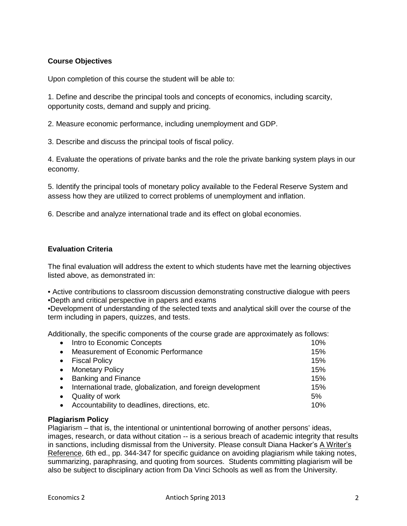# **Course Objectives**

Upon completion of this course the student will be able to:

1. Define and describe the principal tools and concepts of economics, including scarcity, opportunity costs, demand and supply and pricing.

2. Measure economic performance, including unemployment and GDP.

3. Describe and discuss the principal tools of fiscal policy.

4. Evaluate the operations of private banks and the role the private banking system plays in our economy.

5. Identify the principal tools of monetary policy available to the Federal Reserve System and assess how they are utilized to correct problems of unemployment and inflation.

6. Describe and analyze international trade and its effect on global economies.

# **Evaluation Criteria**

The final evaluation will address the extent to which students have met the learning objectives listed above, as demonstrated in:

• Active contributions to classroom discussion demonstrating constructive dialogue with peers •Depth and critical perspective in papers and exams

•Development of understanding of the selected texts and analytical skill over the course of the term including in papers, quizzes, and tests.

Additionally, the specific components of the course grade are approximately as follows:

| $\bullet$ | Intro to Economic Concepts                                  | 10% |
|-----------|-------------------------------------------------------------|-----|
| $\bullet$ | Measurement of Economic Performance                         | 15% |
| $\bullet$ | <b>Fiscal Policy</b>                                        | 15% |
| $\bullet$ | <b>Monetary Policy</b>                                      | 15% |
| $\bullet$ | <b>Banking and Finance</b>                                  | 15% |
| $\bullet$ | International trade, globalization, and foreign development | 15% |
|           | Quality of work                                             | 5%  |
|           | Accountability to deadlines, directions, etc.               | 10% |

#### **Plagiarism Policy**

Plagiarism – that is, the intentional or unintentional borrowing of another persons' ideas, images, research, or data without citation -- is a serious breach of academic integrity that results in sanctions, including dismissal from the University. Please consult Diana Hacker's A Writer's Reference, 6th ed., pp. 344-347 for specific guidance on avoiding plagiarism while taking notes, summarizing, paraphrasing, and quoting from sources. Students committing plagiarism will be also be subject to disciplinary action from Da Vinci Schools as well as from the University.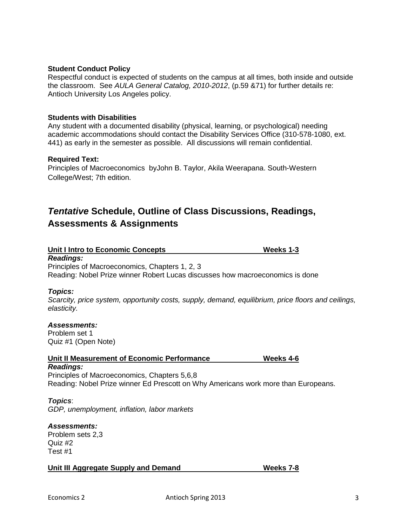#### **Student Conduct Policy**

Respectful conduct is expected of students on the campus at all times, both inside and outside the classroom. See *AULA General Catalog, 2010-2012*, (p.59 &71) for further details re: Antioch University Los Angeles policy.

#### **Students with Disabilities**

Any student with a documented disability (physical, learning, or psychological) needing academic accommodations should contact the Disability Services Office (310-578-1080, ext. 441) as early in the semester as possible. All discussions will remain confidential.

#### **Required Text:**

[Principles of Macroeconomics](http://www.amazon.com/dp/0538453559/ref=rdr_ext_tmb) b[yJohn B. Taylor,](http://www.amazon.com/s/ref=rdr_ext_aut?_encoding=UTF8&index=books&field-author=John%20B.%20Taylor) Akila [Weerapana.](http://www.amazon.com/s/ref=rdr_ext_aut?_encoding=UTF8&index=books&field-author=Akila%20Weerapana) South-Western College/West; 7th edition.

# *Tentative* **Schedule, Outline of Class Discussions, Readings, Assessments & Assignments**

| Unit I Intro to Economic Concepts | Weeks 1-3 |
|-----------------------------------|-----------|
|                                   |           |

#### *Readings:*

[Principles of Macroeconomics,](http://www.amazon.com/dp/0538453559/ref=rdr_ext_tmb) Chapters 1, 2, 3 Reading: Nobel Prize winner Robert Lucas discusses how macroeconomics is done

#### *Topics:*

*Scarcity, price system, opportunity costs, supply, demand, equilibrium, price floors and ceilings, elasticity.* 

#### *Assessments:*

Problem set 1 Quiz #1 (Open Note)

| Unit II Measurement of Economic Performance | Weeks 4-6 |
|---------------------------------------------|-----------|
| Readings:                                   |           |

[Principles of Macroeconomics,](http://www.amazon.com/dp/0538453559/ref=rdr_ext_tmb) Chapters 5,6,8 Reading: Nobel Prize winner Ed Prescott on Why Americans work more than Europeans.

#### *Topics*:

*GDP, unemployment, inflation, labor markets*

#### *Assessments:*

Problem sets 2,3 Quiz #2 Test #1

**Unit III Aggregate Supply and Demand Weeks 7-8**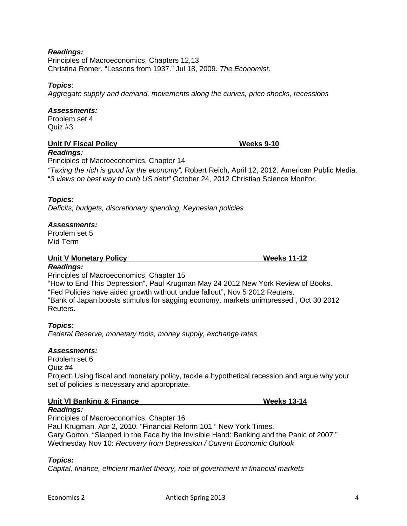## *Readings:*

[Principles of Macroeconomics,](http://www.amazon.com/dp/0538453559/ref=rdr_ext_tmb) Chapters 12,13 Christina Romer. "Lessons from 1937." Jul 18, 2009. *The Economist*.

#### *Topics*:

*Aggregate supply and demand, movements along the curves, price shocks, recessions* 

#### *Assessments:*

Problem set 4 Quiz #3

*Readings:*

#### **Unit IV Fiscal Policy Weeks 9-10**

Principles of Macroeconomics, Chapter 14

*"Taxing the rich is good for the economy",* Robert Reich, April 12, 2012. American Public Media. "*3 views on best way to curb US debt*" October 24, 2012 Christian Science Monitor.

#### *Topics:*

*Deficits, budgets, discretionary spending, Keynesian policies*

#### *Assessments:*

Problem set 5 Mid Term

#### **Unit V Monetary Policy Contract Contract Contract Contract Contract Contract Contract Contract Contract Contract Contract Contract Contract Contract Contract Contract Contract Contract Contract Contract Contract Contract**

#### *Readings:*

[Principles of Macroeconomics,](http://www.amazon.com/dp/0538453559/ref=rdr_ext_tmb) Chapter 15 "How to End This Depression", Paul Krugman May 24 2012 New York Review of Books. "Fed Policies have aided growth without undue fallout", Nov 5 2012 Reuters. "Bank of Japan boosts stimulus for sagging economy, markets unimpressed", Oct 30 2012 Reuters.

#### *Topics:*

*Federal Reserve, monetary tools, money supply, exchange rates*

#### *Assessments:*

Problem set 6 Quiz #4 Project: Using fiscal and monetary policy, tackle a hypothetical recession and argue why your set of policies is necessary and appropriate.

#### **Unit VI Banking & Finance Weeks 13-14**

#### *Readings:*

[Principles of Macroeconomics,](http://www.amazon.com/dp/0538453559/ref=rdr_ext_tmb) Chapter 16 Paul Krugman. Apr 2, 2010. "Financial Reform 101." New York Times. Gary Gorton. "Slapped in the Face by the Invisible Hand: Banking and the Panic of 2007." Wednesday Nov 10: *Recovery from Depression / Current Economic Outlook*

#### *Topics:*

*Capital, finance, efficient market theory, role of government in financial markets*